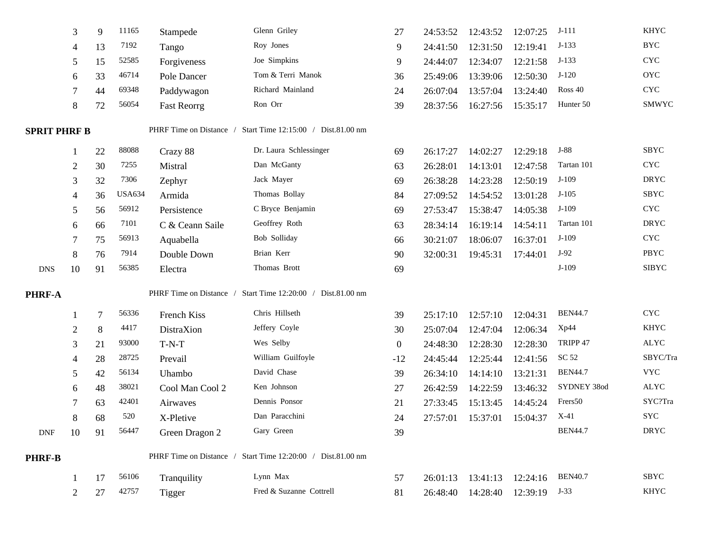|                     | 3              | 9  | 11165         | Stampede           | Glenn Griley                                                | 27           | 24:53:52 | 12:43:52          | 12:07:25 | $J-111$        | <b>KHYC</b>               |
|---------------------|----------------|----|---------------|--------------------|-------------------------------------------------------------|--------------|----------|-------------------|----------|----------------|---------------------------|
|                     | 4              | 13 | 7192          | Tango              | Roy Jones                                                   | 9            | 24:41:50 | 12:31:50          | 12:19:41 | $J-133$        | <b>BYC</b>                |
|                     | 5              | 15 | 52585         | Forgiveness        | Joe Simpkins                                                | 9            | 24:44:07 | 12:34:07          | 12:21:58 | $J-133$        | <b>CYC</b>                |
|                     | 6              | 33 | 46714         | Pole Dancer        | Tom & Terri Manok                                           | 36           | 25:49:06 | 13:39:06          | 12:50:30 | $J-120$        | <b>OYC</b>                |
|                     |                | 44 | 69348         | Paddywagon         | Richard Mainland                                            | 24           | 26:07:04 | 13:57:04          | 13:24:40 | Ross 40        | $\ensuremath{\text{CYC}}$ |
|                     | 8              | 72 | 56054         | <b>Fast Reorrg</b> | Ron Orr                                                     | 39           | 28:37:56 | 16:27:56          | 15:35:17 | Hunter 50      | SMWYC                     |
| <b>SPRIT PHRF B</b> |                |    |               |                    | PHRF Time on Distance / Start Time 12:15:00 / Dist.81.00 nm |              |          |                   |          |                |                           |
|                     |                | 22 | 88088         | Crazy 88           | Dr. Laura Schlessinger                                      | 69           | 26:17:27 | 14:02:27          | 12:29:18 | $J-88$         | <b>SBYC</b>               |
|                     | 2              | 30 | 7255          | Mistral            | Dan McGanty                                                 | 63           | 26:28:01 | 14:13:01          | 12:47:58 | Tartan 101     | $\ensuremath{\text{CYC}}$ |
|                     | 3              | 32 | 7306          | Zephyr             | Jack Mayer                                                  | 69           | 26:38:28 | 14:23:28          | 12:50:19 | $J-109$        | <b>DRYC</b>               |
|                     |                | 36 | <b>USA634</b> | Armida             | Thomas Bollay                                               | 84           | 27:09:52 | 14:54:52          | 13:01:28 | $J-105$        | SBYC                      |
|                     | 5              | 56 | 56912         | Persistence        | C Bryce Benjamin                                            | 69           | 27:53:47 | 15:38:47          | 14:05:38 | $J-109$        | $\ensuremath{\text{CYC}}$ |
|                     | 6              | 66 | 7101          | C & Ceann Saile    | Geoffrey Roth                                               | 63           | 28:34:14 | 16:19:14          | 14:54:11 | Tartan 101     | <b>DRYC</b>               |
|                     |                | 75 | 56913         | Aquabella          | Bob Solliday                                                | 66           | 30:21:07 | 18:06:07          | 16:37:01 | $J-109$        | $\ensuremath{\text{CYC}}$ |
|                     | 8              | 76 | 7914          | Double Down        | Brian Kerr                                                  | 90           | 32:00:31 | 19:45:31          | 17:44:01 | $J-92$         | PBYC                      |
| <b>DNS</b>          | 10             | 91 | 56385         | Electra            | Thomas Brott                                                | 69           |          |                   |          | $J-109$        | <b>SIBYC</b>              |
| PHRF-A              |                |    |               |                    | PHRF Time on Distance / Start Time 12:20:00 / Dist.81.00 nm |              |          |                   |          |                |                           |
|                     |                | 7  | 56336         | French Kiss        | Chris Hillseth                                              | 39           | 25:17:10 | 12:57:10          | 12:04:31 | <b>BEN44.7</b> | <b>CYC</b>                |
|                     | $\overline{2}$ | 8  | 4417          | DistraXion         | Jeffery Coyle                                               | 30           | 25:07:04 | 12:47:04          | 12:06:34 | Xp44           | <b>KHYC</b>               |
|                     | 3              | 21 | 93000         | $T-N-T$            | Wes Selby                                                   | $\mathbf{0}$ | 24:48:30 | 12:28:30          | 12:28:30 | TRIPP 47       | <b>ALYC</b>               |
|                     |                | 28 | 28725         | Prevail            | William Guilfoyle                                           | $-12$        | 24:45:44 | 12:25:44          | 12:41:56 | SC 52          | SBYC/Tra                  |
|                     | 5              | 42 | 56134         | Uhambo             | David Chase                                                 | 39           | 26:34:10 | 14:14:10          | 13:21:31 | <b>BEN44.7</b> | <b>VYC</b>                |
|                     | 6              | 48 | 38021         | Cool Man Cool 2    | Ken Johnson                                                 | 27           | 26:42:59 | 14:22:59          | 13:46:32 | SYDNEY 38od    | ALYC                      |
|                     |                | 63 | 42401         | Airwaves           | Dennis Ponsor                                               | 21           | 27:33:45 | 15:13:45          | 14:45:24 | Frers50        | SYC?Tra                   |
|                     | 8              | 68 | 520           | X-Pletive          | Dan Paracchini                                              | 24           | 27:57:01 | 15:37:01          | 15:04:37 | $X-41$         | <b>SYC</b>                |
| <b>DNF</b>          | 10             | 91 | 56447         | Green Dragon 2     | Gary Green                                                  | 39           |          |                   |          | <b>BEN44.7</b> | <b>DRYC</b>               |
| <b>PHRF-B</b>       |                |    |               |                    | PHRF Time on Distance / Start Time 12:20:00 / Dist.81.00 nm |              |          |                   |          |                |                           |
|                     |                | 17 | 56106         | Tranquility        | Lynn Max                                                    | 57           |          | 26:01:13 13:41:13 | 12:24:16 | <b>BEN40.7</b> | SBYC                      |
|                     | 2              | 27 | 42757         | <b>Tigger</b>      | Fred & Suzanne Cottrell                                     | 81           | 26:48:40 | 14:28:40          | 12:39:19 | $J-33$         | KHYC                      |
|                     |                |    |               |                    |                                                             |              |          |                   |          |                |                           |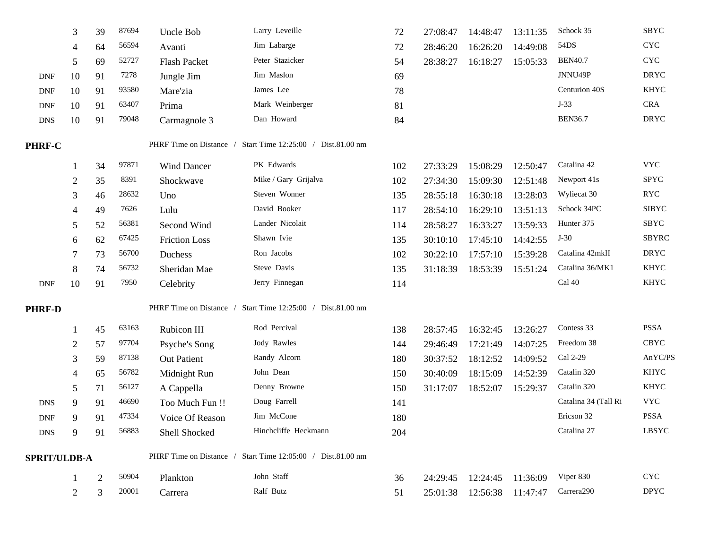|                     | 3  | 39 | 87694 | Uncle Bob               | Larry Leveille                                              | 72  | 27:08:47 | 14:48:47 | 13:11:35 | Schock 35              | SBYC                        |
|---------------------|----|----|-------|-------------------------|-------------------------------------------------------------|-----|----------|----------|----------|------------------------|-----------------------------|
|                     | 4  | 64 | 56594 | Avanti                  | Jim Labarge                                                 | 72  | 28:46:20 | 16:26:20 | 14:49:08 | 54DS                   | $\ensuremath{\text{CYC}}$   |
|                     | 5  | 69 | 52727 | <b>Flash Packet</b>     | Peter Stazicker                                             | 54  | 28:38:27 | 16:18:27 | 15:05:33 | <b>BEN40.7</b>         | $\ensuremath{\text{CYC}}$   |
| <b>DNF</b>          | 10 | 91 | 7278  | Jungle Jim              | Jim Maslon                                                  | 69  |          |          |          | JNNU49P                | <b>DRYC</b>                 |
| <b>DNF</b>          | 10 | 91 | 93580 | Mare'zia                | James Lee                                                   | 78  |          |          |          | Centurion 40S          | <b>KHYC</b>                 |
| <b>DNF</b>          | 10 | 91 | 63407 | Prima                   | Mark Weinberger                                             | 81  |          |          |          | $J-33$                 | <b>CRA</b>                  |
| <b>DNS</b>          | 10 | 91 | 79048 | Carmagnole 3            | Dan Howard                                                  | 84  |          |          |          | <b>BEN36.7</b>         | <b>DRYC</b>                 |
| PHRF-C              |    |    |       | PHRF Time on Distance / | Start Time 12:25:00 / Dist.81.00 nm                         |     |          |          |          |                        |                             |
|                     |    | 34 | 97871 | <b>Wind Dancer</b>      | PK Edwards                                                  | 102 | 27:33:29 | 15:08:29 | 12:50:47 | Catalina 42            | <b>VYC</b>                  |
|                     | 2  | 35 | 8391  | Shockwave               | Mike / Gary Grijalva                                        | 102 | 27:34:30 | 15:09:30 | 12:51:48 | Newport 41s            | <b>SPYC</b>                 |
|                     | 3  | 46 | 28632 | Uno                     | Steven Wonner                                               | 135 | 28:55:18 | 16:30:18 | 13:28:03 | Wyliecat 30            | $\ensuremath{\mathsf{RYC}}$ |
|                     | 4  | 49 | 7626  | Lulu                    | David Booker                                                | 117 | 28:54:10 | 16:29:10 | 13:51:13 | Schock 34PC            | <b>SIBYC</b>                |
|                     | 5  | 52 | 56381 | Second Wind             | Lander Nicolait                                             | 114 | 28:58:27 | 16:33:27 | 13:59:33 | Hunter 375             | SBYC                        |
|                     | 6  | 62 | 67425 | <b>Friction Loss</b>    | Shawn Ivie                                                  | 135 | 30:10:10 | 17:45:10 | 14:42:55 | $J-30$                 | <b>SBYRC</b>                |
|                     |    | 73 | 56700 | Duchess                 | Ron Jacobs                                                  | 102 | 30:22:10 | 17:57:10 | 15:39:28 | Catalina 42mkII        | <b>DRYC</b>                 |
|                     | 8  | 74 | 56732 | Sheridan Mae            | Steve Davis                                                 | 135 | 31:18:39 | 18:53:39 | 15:51:24 | Catalina 36/MK1        | <b>KHYC</b>                 |
| <b>DNF</b>          | 10 | 91 | 7950  | Celebrity               | Jerry Finnegan                                              | 114 |          |          |          | Cal 40                 | <b>KHYC</b>                 |
| <b>PHRF-D</b>       |    |    |       | PHRF Time on Distance / | Start Time 12:25:00 / Dist.81.00 nm                         |     |          |          |          |                        |                             |
|                     |    | 45 | 63163 | Rubicon III             | Rod Percival                                                | 138 | 28:57:45 | 16:32:45 | 13:26:27 | Contess 33             | <b>PSSA</b>                 |
|                     | 2  | 57 | 97704 | Psyche's Song           | Jody Rawles                                                 | 144 | 29:46:49 | 17:21:49 | 14:07:25 | Freedom 38             | <b>CBYC</b>                 |
|                     | 3  | 59 | 87138 | <b>Out Patient</b>      | Randy Alcorn                                                | 180 | 30:37:52 | 18:12:52 | 14:09:52 | Cal 2-29               | AnYC/PS                     |
|                     | 4  | 65 | 56782 | Midnight Run            | John Dean                                                   | 150 | 30:40:09 | 18:15:09 | 14:52:39 | Catalin 320            | <b>KHYC</b>                 |
|                     | 5  | 71 | 56127 | A Cappella              | Denny Browne                                                | 150 | 31:17:07 | 18:52:07 | 15:29:37 | Catalin 320            | <b>KHYC</b>                 |
| <b>DNS</b>          | 9  | 91 | 46690 | Too Much Fun !!         | Doug Farrell                                                | 141 |          |          |          | Catalina 34 (Tall Ri   | <b>VYC</b>                  |
| <b>DNF</b>          | 9  | 91 | 47334 | Voice Of Reason         | Jim McCone                                                  | 180 |          |          |          | Ericson 32             | <b>PSSA</b>                 |
| <b>DNS</b>          | 9  | 91 | 56883 | Shell Shocked           | Hinchcliffe Heckmann                                        | 204 |          |          |          | Catalina 27            | <b>LBSYC</b>                |
| <b>SPRIT/ULDB-A</b> |    |    |       |                         | PHRF Time on Distance / Start Time 12:05:00 / Dist.81.00 nm |     |          |          |          |                        |                             |
|                     |    | 2  | 50904 | Plankton                | John Staff                                                  | 36  | 24:29:45 | 12:24:45 | 11:36:09 | Viper 830              | $\ensuremath{\text{CYC}}$   |
|                     | 2  | 3  | 20001 | Carrera                 | Ralf Butz                                                   | 51  | 25:01:38 | 12:56:38 | 11:47:47 | Carrera <sub>290</sub> | <b>DPYC</b>                 |
|                     |    |    |       |                         |                                                             |     |          |          |          |                        |                             |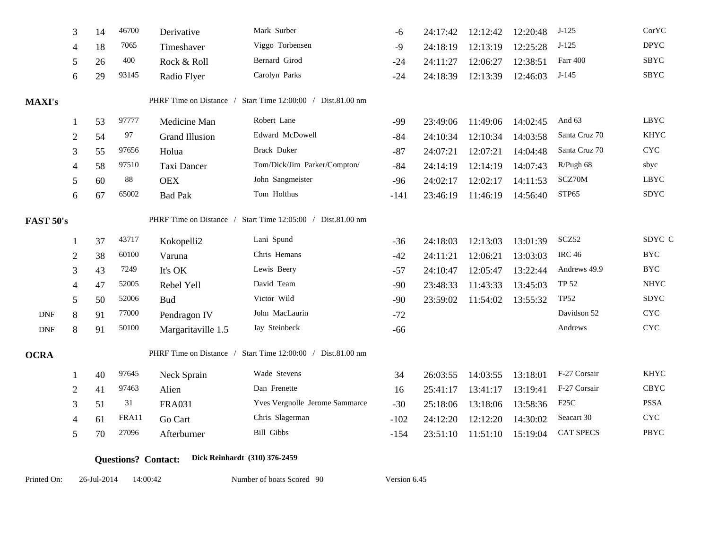|                             | 3              | 14 | 46700 | Derivative            | Mark Surber                                                 | -6     | 24:17:42 | 12:12:42 | 12:20:48 | $J-125$           | CorYC                     |
|-----------------------------|----------------|----|-------|-----------------------|-------------------------------------------------------------|--------|----------|----------|----------|-------------------|---------------------------|
|                             | 4              | 18 | 7065  | Timeshaver            | Viggo Torbensen                                             | -9     | 24:18:19 | 12:13:19 | 12:25:28 | $J-125$           | <b>DPYC</b>               |
|                             | 5              | 26 | 400   | Rock & Roll           | Bernard Girod                                               | $-24$  | 24:11:27 | 12:06:27 | 12:38:51 | Farr 400          | SBYC                      |
|                             | 6              | 29 | 93145 | Radio Flyer           | Carolyn Parks                                               | $-24$  | 24:18:39 | 12:13:39 | 12:46:03 | $J-145$           | SBYC                      |
| <b>MAXI's</b>               |                |    |       |                       | PHRF Time on Distance / Start Time 12:00:00 / Dist.81.00 nm |        |          |          |          |                   |                           |
|                             |                | 53 | 97777 | Medicine Man          | Robert Lane                                                 | $-99$  | 23:49:06 | 11:49:06 | 14:02:45 | And 63            | <b>LBYC</b>               |
|                             | $\overline{c}$ | 54 | 97    | <b>Grand Illusion</b> | Edward McDowell                                             | $-84$  | 24:10:34 | 12:10:34 | 14:03:58 | Santa Cruz 70     | <b>KHYC</b>               |
|                             | 3              | 55 | 97656 | Holua                 | Brack Duker                                                 | $-87$  | 24:07:21 | 12:07:21 | 14:04:48 | Santa Cruz 70     | <b>CYC</b>                |
|                             | 4              | 58 | 97510 | Taxi Dancer           | Tom/Dick/Jim Parker/Compton/                                | $-84$  | 24:14:19 | 12:14:19 | 14:07:43 | R/Pugh 68         | sbyc                      |
|                             | 5              | 60 | 88    | <b>OEX</b>            | John Sangmeister                                            | $-96$  | 24:02:17 | 12:02:17 | 14:11:53 | SCZ70M            | LBYC                      |
|                             | 6              | 67 | 65002 | <b>Bad Pak</b>        | Tom Holthus                                                 | $-141$ | 23:46:19 | 11:46:19 | 14:56:40 | STP65             | <b>SDYC</b>               |
| <b>FAST 50's</b>            |                |    |       |                       | PHRF Time on Distance / Start Time 12:05:00 / Dist.81.00 nm |        |          |          |          |                   |                           |
|                             |                | 37 | 43717 | Kokopelli2            | Lani Spund                                                  | $-36$  | 24:18:03 | 12:13:03 | 13:01:39 | SCZ52             | SDYC C                    |
|                             | 2              | 38 | 60100 | Varuna                | Chris Hemans                                                | $-42$  | 24:11:21 | 12:06:21 | 13:03:03 | <b>IRC 46</b>     | $_{\mathrm{BYC}}$         |
|                             | 3              | 43 | 7249  | It's OK               | Lewis Beery                                                 | $-57$  | 24:10:47 | 12:05:47 | 13:22:44 | Andrews 49.9      | <b>BYC</b>                |
|                             |                | 47 | 52005 | Rebel Yell            | David Team                                                  | $-90$  | 23:48:33 | 11:43:33 | 13:45:03 | <b>TP 52</b>      | <b>NHYC</b>               |
|                             | 5              | 50 | 52006 | <b>Bud</b>            | Victor Wild                                                 | $-90$  | 23:59:02 | 11:54:02 | 13:55:32 | <b>TP52</b>       | <b>SDYC</b>               |
| <b>DNF</b>                  | 8              | 91 | 77000 | Pendragon IV          | John MacLaurin                                              | $-72$  |          |          |          | Davidson 52       | $\ensuremath{\text{CYC}}$ |
| $\ensuremath{\mathsf{DNF}}$ | 8              | 91 | 50100 | Margaritaville 1.5    | Jay Steinbeck                                               | $-66$  |          |          |          | Andrews           | $\ensuremath{\text{CYC}}$ |
| <b>OCRA</b>                 |                |    |       |                       | PHRF Time on Distance / Start Time 12:00:00 / Dist.81.00 nm |        |          |          |          |                   |                           |
|                             |                | 40 | 97645 | Neck Sprain           | Wade Stevens                                                | 34     | 26:03:55 | 14:03:55 | 13:18:01 | F-27 Corsair      | <b>KHYC</b>               |
|                             | $\overline{2}$ | 41 | 97463 | Alien                 | Dan Frenette                                                | 16     | 25:41:17 | 13:41:17 | 13:19:41 | F-27 Corsair      | <b>CBYC</b>               |
|                             | 3              | 51 | 31    | <b>FRA031</b>         | Yves Vergnolle Jerome Sammarce                              | $-30$  | 25:18:06 | 13:18:06 | 13:58:36 | F <sub>25</sub> C | <b>PSSA</b>               |
|                             | 4              | 61 | FRA11 | Go Cart               | Chris Slagerman                                             | $-102$ | 24:12:20 | 12:12:20 | 14:30:02 | Seacart 30        | $\ensuremath{\text{CYC}}$ |
|                             | 5              | 70 | 27096 | Afterburner           | <b>Bill Gibbs</b>                                           | $-154$ | 23:51:10 | 11:51:10 | 15:19:04 | <b>CAT SPECS</b>  | PBYC                      |
|                             |                |    |       |                       |                                                             |        |          |          |          |                   |                           |

**Questions? Contact: Dick Reinhardt (310) 376-2459**

Printed On: 26-Jul-2014 14:00:42

Number of boats Scored 90 Version 6.45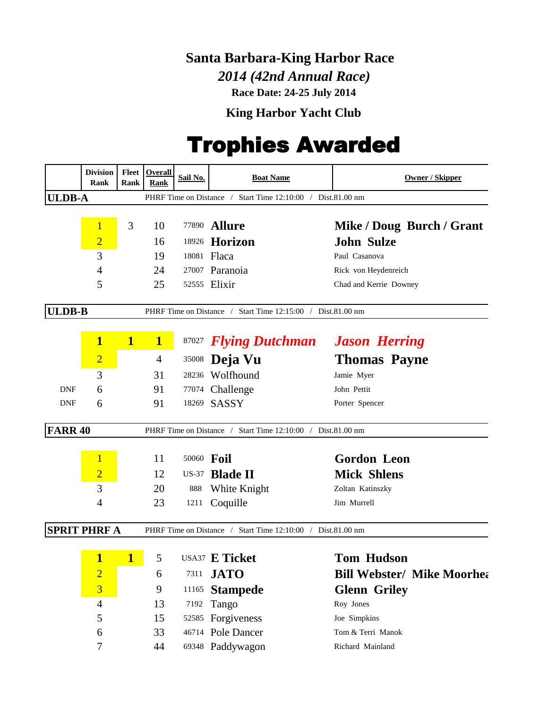## **Santa Barbara-King Harbor Race**

 *2014 (42nd Annual Race)* **Race Date: 24-25 July 2014**

**King Harbor Yacht Club**

## Trophies Awarded

|                | <b>Division</b><br>Rank | Fleet<br>Rank | <b>Overall</b><br>Rank | Sail No.   | <b>Boat Name</b>                                            | <b>Owner / Skipper</b>            |
|----------------|-------------------------|---------------|------------------------|------------|-------------------------------------------------------------|-----------------------------------|
| <b>ULDB-A</b>  |                         |               |                        |            | PHRF Time on Distance / Start Time 12:10:00 / Dist.81.00 nm |                                   |
|                |                         |               |                        |            |                                                             |                                   |
|                | $\overline{1}$          | 3             | 10                     |            | 77890 <b>Allure</b>                                         | Mike / Doug Burch / Grant         |
|                | $\overline{2}$          |               | 16                     |            | 18926 Horizon                                               | <b>John Sulze</b>                 |
|                | 3                       |               | 19                     |            | 18081 Flaca                                                 | Paul Casanova                     |
|                | 4                       |               | 24                     |            | 27007 Paranoia                                              | Rick von Heydenreich              |
|                | 5                       |               | 25                     |            | 52555 Elixir                                                | Chad and Kerrie Downey            |
| <b>ULDB-B</b>  |                         |               |                        |            | PHRF Time on Distance / Start Time 12:15:00 / Dist.81.00 nm |                                   |
|                | $\mathbf{1}$            | $\mathbf{1}$  | $\mathbf{1}$           |            | 87027 <b>Flying Dutchman</b> Jason Herring                  |                                   |
|                | $\overline{2}$          |               | $\overline{4}$         | 35008      | Deja Vu                                                     | <b>Thomas Payne</b>               |
|                | 3                       |               | 31                     |            | 28236 Wolfhound                                             | Jamie Myer                        |
| <b>DNF</b>     | 6                       |               | 91                     |            | 77074 Challenge                                             | John Pettit                       |
| <b>DNF</b>     | 6                       |               | 91                     |            | 18269 SASSY                                                 | Porter Spencer                    |
| <b>FARR 40</b> |                         |               |                        |            | PHRF Time on Distance / Start Time 12:10:00 / Dist.81.00 nm |                                   |
|                |                         |               | 11                     | 50060 Foil |                                                             | <b>Gordon Leon</b>                |
|                | $\overline{2}$          |               | 12                     |            | US-37 Blade II                                              | <b>Mick Shlens</b>                |
|                | 3                       |               | 20                     | 888        | White Knight                                                | Zoltan Katinszky                  |
|                | 4                       |               | 23                     | 1211       | Coquille                                                    | Jim Murrell                       |
|                | <b>SPRIT PHRF A</b>     |               |                        |            | PHRF Time on Distance / Start Time 12:10:00 / Dist.81.00 nm |                                   |
|                |                         |               |                        |            |                                                             |                                   |
|                | $\mathbf{1}$            | $\mathbf{1}$  | 5                      |            | USA37 E Ticket                                              | <b>Tom Hudson</b>                 |
|                | $\overline{2}$          |               | 6                      |            | 7311 <b>JATO</b>                                            | <b>Bill Webster/ Mike Moorhea</b> |
|                | $\overline{\mathbf{3}}$ |               | 9                      | 11165      | <b>Stampede</b>                                             | <b>Glenn Griley</b>               |
|                | $\overline{4}$          |               | 13                     | 7192       | Tango                                                       | Roy Jones                         |
|                | 5                       |               | 15                     |            | 52585 Forgiveness                                           | Joe Simpkins                      |
|                | 6                       |               | 33                     |            | 46714 Pole Dancer                                           | Tom & Terri Manok                 |
|                | 7                       |               | 44                     |            | 69348 Paddywagon                                            | Richard Mainland                  |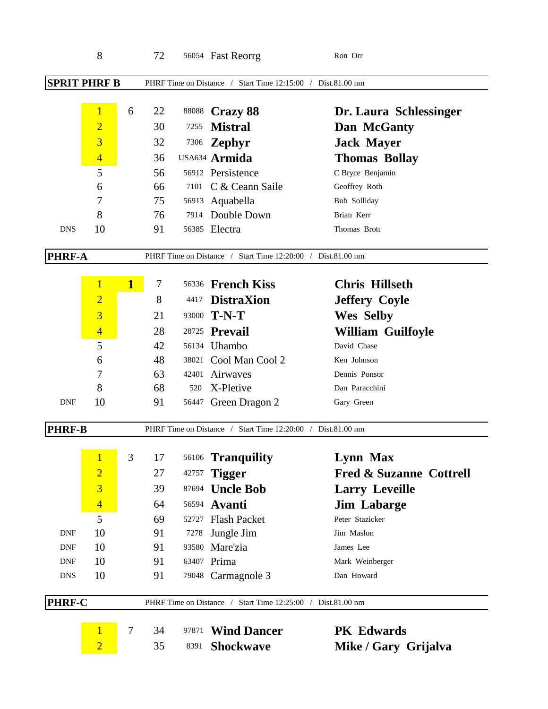|                     | 8              |              | 72 |                         | 56054 Fast Reorrg                                           | Ron Orr                  |
|---------------------|----------------|--------------|----|-------------------------|-------------------------------------------------------------|--------------------------|
| <b>SPRIT PHRF B</b> |                |              |    |                         | PHRF Time on Distance / Start Time 12:15:00 / Dist.81.00 nm |                          |
|                     | $\mathbf{1}$   | 6            | 22 | 88088                   | <b>Crazy 88</b>                                             | Dr. Laura Schlessinger   |
|                     | $\overline{2}$ |              | 30 | 7255                    | <b>Mistral</b>                                              | Dan McGanty              |
|                     | $\overline{3}$ |              | 32 | 7306                    | <b>Zephyr</b>                                               | <b>Jack Mayer</b>        |
|                     | $\overline{4}$ |              | 36 |                         | USA634 Armida                                               | <b>Thomas Bollay</b>     |
|                     | 5              |              | 56 |                         | 56912 Persistence                                           | C Bryce Benjamin         |
|                     | 6              |              | 66 | 7101                    | C & Ceann Saile                                             | Geoffrey Roth            |
|                     | 7              |              | 75 |                         | 56913 Aquabella                                             | Bob Solliday             |
|                     | 8              |              | 76 | 7914                    | Double Down                                                 | Brian Kerr               |
| <b>DNS</b>          | 10             |              | 91 |                         | 56385 Electra                                               | Thomas Brott             |
| <b>PHRF-A</b>       |                |              |    |                         | PHRF Time on Distance / Start Time 12:20:00 / Dist.81.00 nm |                          |
|                     | $\mathbf{1}$   | $\mathbf{1}$ | 7  | 56336                   | <b>French Kiss</b>                                          | <b>Chris Hillseth</b>    |
|                     | $\overline{2}$ |              | 8  | 4417                    | <b>DistraXion</b>                                           | <b>Jeffery Coyle</b>     |
|                     | $\overline{3}$ |              | 21 | 93000                   | $T-N-T$                                                     | <b>Wes Selby</b>         |
|                     | $\overline{4}$ |              | 28 | 28725                   | Prevail                                                     | <b>William Guilfoyle</b> |
|                     | 5              |              | 42 | 56134                   | Uhambo                                                      | David Chase              |
|                     | 6              |              | 48 |                         | 38021 Cool Man Cool 2                                       | Ken Johnson              |
|                     | 7              |              | 63 | 42401                   | Airwaves                                                    | Dennis Ponsor            |
|                     | 8              |              | 68 | 520                     | X-Pletive                                                   | Dan Paracchini           |
| <b>DNF</b>          | 10             |              | 91 | 56447                   | Green Dragon 2                                              | Gary Green               |
| <b>PHRF-B</b>       |                |              |    | PHRF Time on Distance / | Start Time 12:20:00 / Dist.81.00 nm                         |                          |
|                     | $\mathbf{1}$   | 3            | 17 | 56106                   | <b>Tranquility</b>                                          | Lynn Max                 |
|                     | $\overline{2}$ |              | 27 | 42757                   | <b>Tigger</b>                                               | Fred & Suzanne Cottrell  |
|                     | $\overline{3}$ |              | 39 |                         | 87694 <b>Uncle Bob</b>                                      | <b>Larry Leveille</b>    |
|                     | $\overline{4}$ |              | 64 |                         | 56594 Avanti                                                | <b>Jim Labarge</b>       |
|                     | 5              |              | 69 | 52727                   | <b>Flash Packet</b>                                         | Peter Stazicker          |
| <b>DNF</b>          | 10             |              | 91 | 7278                    | Jungle Jim                                                  | Jim Maslon               |
| <b>DNF</b>          | 10             |              | 91 | 93580                   | Mare'zia                                                    | James Lee                |
| <b>DNF</b>          | 10             |              | 91 |                         | 63407 Prima                                                 | Mark Weinberger          |
| <b>DNS</b>          | 10             |              | 91 |                         | 79048 Carmagnole 3                                          | Dan Howard               |
| PHRF-C              |                |              |    |                         | PHRF Time on Distance / Start Time 12:25:00 / Dist.81.00 nm |                          |
|                     | $\mathbf{1}$   | $\tau$       | 34 | 97871                   | <b>Wind Dancer</b>                                          | <b>PK</b> Edwards        |
|                     | $\overline{2}$ |              | 35 | 8391                    | <b>Shockwave</b>                                            | Mike / Gary Grijalva     |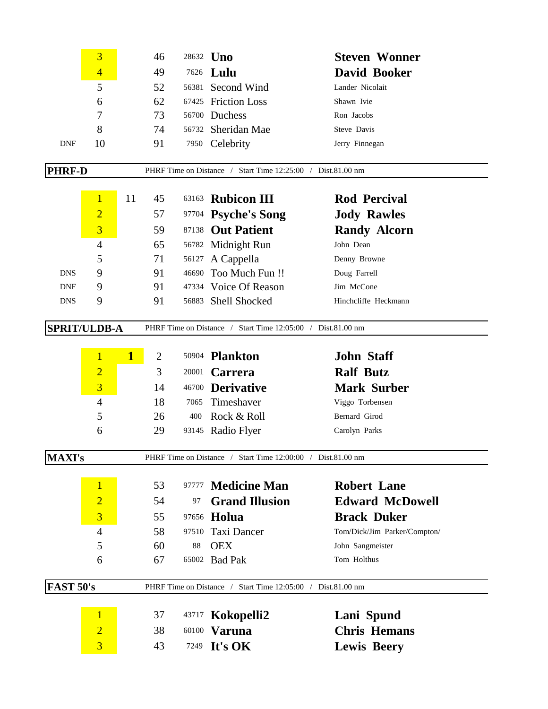|                  | 3                   |              | 46             |                         | 28632 <b>Uno</b>                                            | <b>Steven Wonner</b>         |
|------------------|---------------------|--------------|----------------|-------------------------|-------------------------------------------------------------|------------------------------|
|                  | $\overline{4}$      |              | 49             | 7626                    | Lulu                                                        | David Booker                 |
|                  | 5                   |              | 52             |                         | 56381 Second Wind                                           | Lander Nicolait              |
|                  | 6                   |              | 62             | 67425                   | <b>Friction Loss</b>                                        | Shawn Ivie                   |
|                  | 7                   |              | 73             |                         | 56700 Duchess                                               | Ron Jacobs                   |
|                  | 8                   |              | 74             | 56732                   | Sheridan Mae                                                | Steve Davis                  |
| <b>DNF</b>       | 10                  |              | 91             |                         | 7950 Celebrity                                              | Jerry Finnegan               |
| <b>PHRF-D</b>    |                     |              |                |                         | PHRF Time on Distance / Start Time 12:25:00 / Dist.81.00 nm |                              |
|                  |                     |              |                |                         |                                                             |                              |
|                  | $\mathbf{1}$        | 11           | 45             | 63163                   | <b>Rubicon III</b>                                          | <b>Rod Percival</b>          |
|                  | $\overline{2}$      |              | 57             | 97704                   | <b>Psyche's Song</b>                                        | <b>Jody Rawles</b>           |
|                  | 3                   |              | 59             | 87138                   | <b>Out Patient</b>                                          | <b>Randy Alcorn</b>          |
|                  | $\overline{4}$      |              | 65             | 56782                   | Midnight Run                                                | John Dean                    |
|                  | 5                   |              | 71             | 56127                   | A Cappella                                                  | Denny Browne                 |
| <b>DNS</b>       | 9                   |              | 91             | 46690                   | Too Much Fun !!                                             | Doug Farrell                 |
| <b>DNF</b>       | 9                   |              | 91             |                         | 47334 Voice Of Reason                                       | Jim McCone                   |
| <b>DNS</b>       | 9                   |              | 91             |                         | 56883 Shell Shocked                                         | Hinchcliffe Heckmann         |
|                  | <b>SPRIT/ULDB-A</b> |              |                |                         | PHRF Time on Distance / Start Time 12:05:00 / Dist.81.00 nm |                              |
|                  |                     |              |                |                         |                                                             |                              |
|                  | $\mathbf{1}$        | $\mathbf{1}$ | $\overline{2}$ |                         | 50904 <b>Plankton</b>                                       | <b>John Staff</b>            |
|                  | $\overline{2}$      |              | 3              | 20001                   | <b>Carrera</b>                                              | <b>Ralf Butz</b>             |
|                  | $\overline{3}$      |              | 14             | 46700                   | <b>Derivative</b>                                           | <b>Mark Surber</b>           |
|                  | $\overline{4}$      |              | 18             | 7065                    | Timeshaver                                                  | Viggo Torbensen              |
|                  | 5                   |              | 26             | 400                     | Rock & Roll                                                 | Bernard Girod                |
|                  | 6                   |              | 29             |                         | 93145 Radio Flyer                                           | Carolyn Parks                |
|                  |                     |              |                |                         |                                                             |                              |
| <b>MAXI's</b>    |                     |              |                | PHRF Time on Distance / | Start Time 12:00:00 / Dist.81.00 nm                         |                              |
|                  | $\mathbf{1}$        |              | 53             | 97777                   | <b>Medicine Man</b>                                         | <b>Robert Lane</b>           |
|                  | $\overline{2}$      |              | 54             | 97                      | <b>Grand Illusion</b>                                       | <b>Edward McDowell</b>       |
|                  | $\overline{3}$      |              | 55             | 97656                   | Holua                                                       | <b>Brack Duker</b>           |
|                  | $\overline{4}$      |              | 58             | 97510                   | Taxi Dancer                                                 | Tom/Dick/Jim Parker/Compton/ |
|                  | 5                   |              | 60             | 88                      | <b>OEX</b>                                                  | John Sangmeister             |
|                  | 6                   |              | 67             | 65002                   | <b>Bad Pak</b>                                              | Tom Holthus                  |
|                  |                     |              |                |                         |                                                             |                              |
| <b>FAST 50's</b> |                     |              |                | PHRF Time on Distance / | Start Time 12:05:00 / Dist.81.00 nm                         |                              |
|                  |                     |              |                |                         |                                                             |                              |
|                  | $\mathbf{1}$        |              | 37             | 43717                   | Kokopelli2                                                  | Lani Spund                   |
|                  | $\overline{2}$      |              | 38             | 60100                   | <b>Varuna</b>                                               | <b>Chris Hemans</b>          |
|                  | $\overline{3}$      |              | 43             |                         | 7249 It's OK                                                | <b>Lewis Beery</b>           |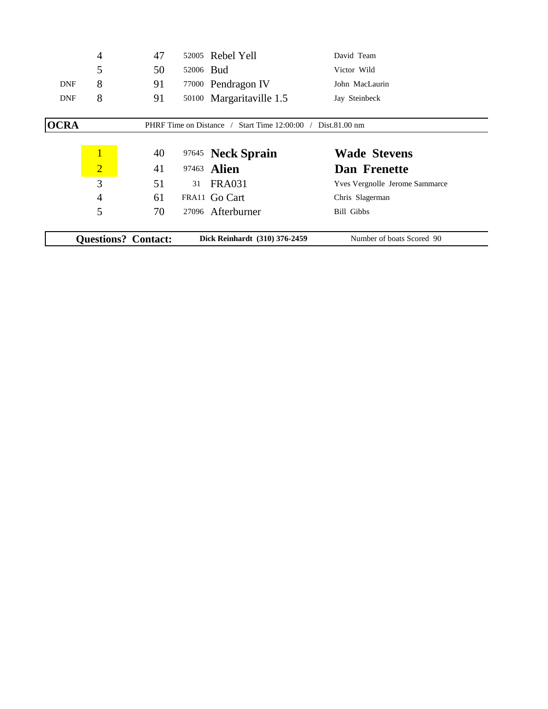|             | <b>Questions? Contact:</b> |    |           | Dick Reinhardt (310) 376-2459                               | Number of boats Scored 90             |
|-------------|----------------------------|----|-----------|-------------------------------------------------------------|---------------------------------------|
|             |                            |    |           |                                                             |                                       |
|             | 5                          | 70 |           | 27096 Afterburner                                           | Bill Gibbs                            |
|             | $\overline{4}$             | 61 |           | FRA11 Go Cart                                               | Chris Slagerman                       |
|             | 3                          | 51 | 31        | <b>FRA031</b>                                               | <b>Yves Vergnolle Jerome Sammarce</b> |
|             | $\overline{2}$             | 41 |           | 97463 <b>Alien</b>                                          | Dan Frenette                          |
|             | $\overline{1}$             | 40 |           | 97645 Neck Sprain                                           | <b>Wade Stevens</b>                   |
|             |                            |    |           |                                                             |                                       |
| <b>OCRA</b> |                            |    |           | PHRF Time on Distance / Start Time 12:00:00 / Dist.81.00 nm |                                       |
|             |                            |    |           |                                                             |                                       |
| <b>DNF</b>  | 8                          | 91 |           | 50100 Margaritaville 1.5                                    | Jay Steinbeck                         |
| <b>DNF</b>  | 8                          | 91 |           | 77000 Pendragon IV                                          | John MacLaurin                        |
|             | 5                          | 50 | 52006 Bud |                                                             | Victor Wild                           |
|             | 4                          | 47 |           | 52005 Rebel Yell                                            | David Team                            |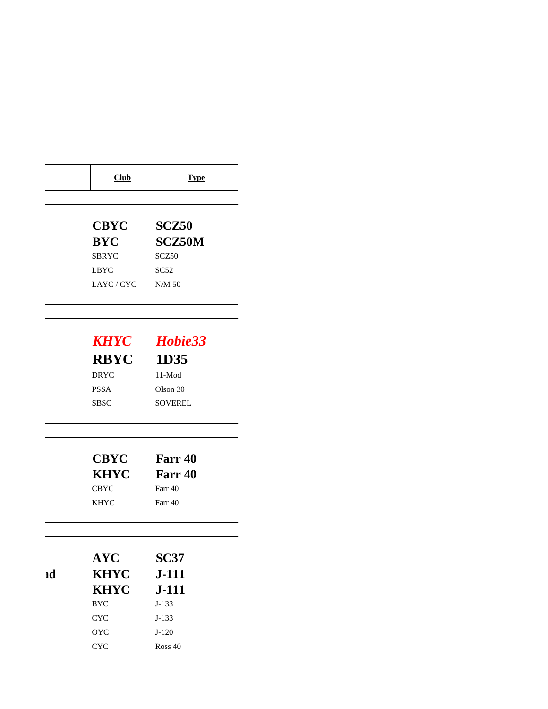|    | Club                      | <b>Type</b>       |
|----|---------------------------|-------------------|
|    | <b>CBYC</b>               | SCZ <sub>50</sub> |
|    | <b>BYC</b>                | <b>SCZ50M</b>     |
|    | <b>SBRYC</b>              | SCZ50             |
|    | <b>LBYC</b>               | SC52              |
|    | LAYC/CYC                  | N/M 50            |
|    |                           |                   |
|    | <b>KHYC</b>               | Hobie33           |
|    | <b>RBYC</b>               | 1D35              |
|    | <b>DRYC</b>               | 11-Mod            |
|    | <b>PSSA</b>               | Olson 30          |
|    | <b>SBSC</b>               | <b>SOVEREL</b>    |
|    |                           |                   |
|    | <b>CBYC</b>               | Farr 40           |
|    | <b>KHYC</b>               | Farr 40           |
|    | <b>CBYC</b>               | Farr 40           |
|    | <b>KHYC</b>               | Farr 40           |
|    |                           |                   |
|    | <b>AYC</b>                | <b>SC37</b>       |
| ıd | <b>KHYC</b>               | <b>J-111</b>      |
|    | <b>KHYC</b>               | $J-111$           |
|    | $_{\mathrm{BYC}}$         | $J-133$           |
|    | $\ensuremath{\text{CYC}}$ | $J-133$           |
|    | $_{\rm OYC}$              | $J-120$           |
|    | CYC                       | Ross 40           |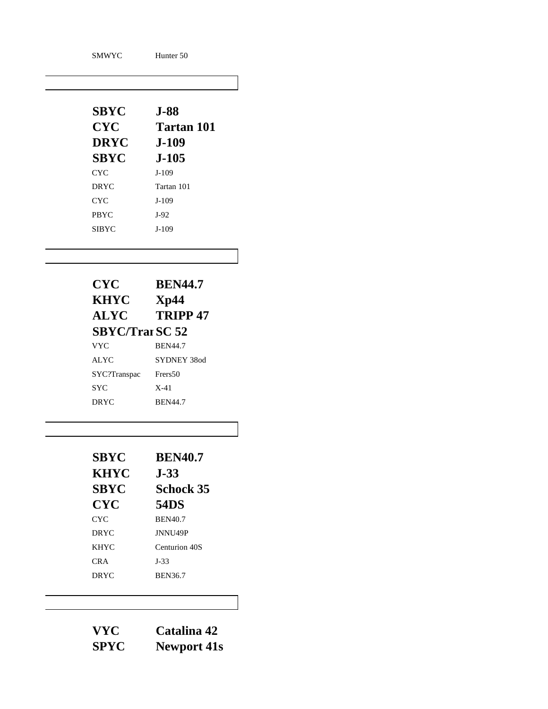| <b>SMWYC</b> | Hunter 50  |
|--------------|------------|
| <b>SBYC</b>  | $J-88$     |
| <b>CYC</b>   | Tartan 101 |
| <b>DRYC</b>  | $J-109$    |
| <b>SBYC</b>  | $J-105$    |
| <b>CYC</b>   | $J-109$    |
| <b>DRYC</b>  | Tartan 101 |
| <b>CYC</b>   | $J-109$    |
| <b>PBYC</b>  | $J-92$     |
| <b>SIBYC</b> | $J-109$    |

| <b>CYC</b>            | <b>BEN44.7</b>      |
|-----------------------|---------------------|
| <b>KHYC</b>           | Xp44                |
| <b>ALYC</b>           | TRIPP <sub>47</sub> |
| <b>SBYC/TrarSC 52</b> |                     |
| <b>VYC</b>            | <b>BEN44.7</b>      |
| ALYC                  | SYDNEY 380d         |
| SYC?Transpac          | Frers50             |
| <b>SYC</b>            | $X-41$              |
| <b>DRYC</b>           | <b>BEN44.7</b>      |

| <b>SBYC</b> | <b>BEN40.7</b>      |
|-------------|---------------------|
| <b>KHYC</b> | <b>J-33</b>         |
| <b>SBYC</b> | <b>Schock 35</b>    |
| <b>CYC</b>  | <b>54DS</b>         |
| CYC.        | <b>BEN40.7</b>      |
| <b>DRYC</b> | JNNU <sub>49P</sub> |
| <b>KHYC</b> | Centurion 40S       |
| CR A        | $J-33$              |
| <b>DRYC</b> | <b>BEN36.7</b>      |

| VYC         | Catalina 42        |
|-------------|--------------------|
| <b>SPYC</b> | <b>Newport 41s</b> |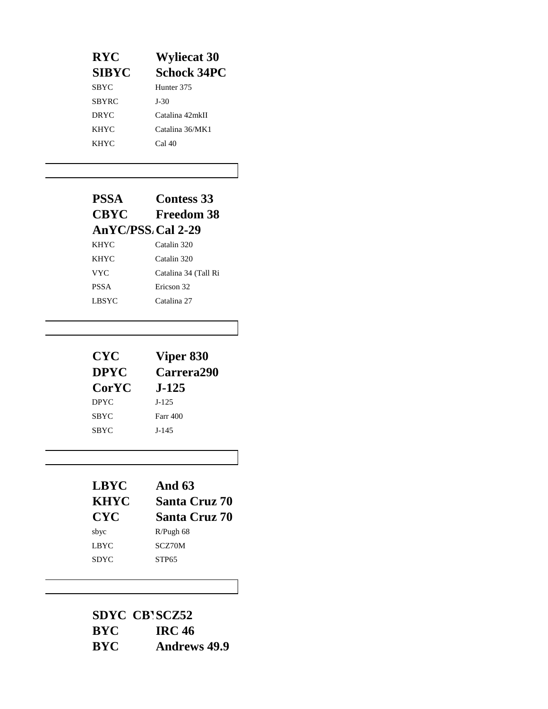| <b>RYC</b>   | <b>Wyliecat 30</b>    |
|--------------|-----------------------|
| <b>SIBYC</b> | <b>Schock 34PC</b>    |
| SBYC         | Hunter <sub>375</sub> |
| SBYRC        | J-30                  |
| <b>DRYC</b>  | Catalina 42mkII       |
| <b>KHYC</b>  | Catalina 36/MK1       |
| <b>KHYC</b>  | Cal 40                |
|              |                       |

## **PSSA Contess 33 Freedom 38 AnYC/PSS.** Cal 2-29 KHYC Catalin 320 KHYC Catalin 320 VYC Catalina 34 (Tall Ri PSSA Ericson 32 LBSYC Catalina 27

| <b>CYC</b>   | Viper 830         |
|--------------|-------------------|
| <b>DPYC</b>  | <b>Carrera290</b> |
| <b>CorYC</b> | <b>J-125</b>      |
| <b>DPYC</b>  | $J-125$           |
| <b>SBYC</b>  | <b>Farr 400</b>   |
| <b>SBYC</b>  | $J-145$           |

| <b>And 63</b>        |
|----------------------|
| <b>Santa Cruz 70</b> |
| <b>Santa Cruz 70</b> |
| $R/P$ ugh 68         |
| SCZ70M               |
| STP <sub>65</sub>    |
|                      |

|            | <b>SDYC CBISCZ52</b> |
|------------|----------------------|
| <b>BYC</b> | <b>IRC 46</b>        |
| <b>BYC</b> | <b>Andrews 49.9</b>  |